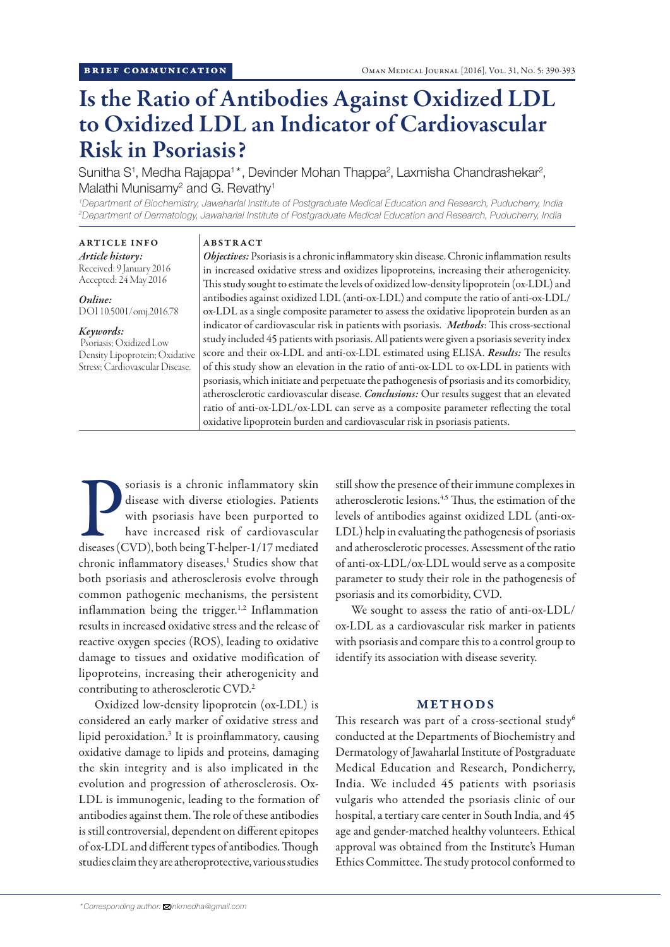# Is the Ratio of Antibodies Against Oxidized LDL to Oxidized LDL an Indicator of Cardiovascular Risk in Psoriasis?

Sunitha S<sup>1</sup>, Medha Rajappa<sup>1\*</sup>, Devinder Mohan Thappa<sup>2</sup>, Laxmisha Chandrashekar<sup>2</sup>, Malathi Munisamy<sup>2</sup> and G. Revathy<sup>1</sup>

*1 Department of Biochemistry, Jawaharlal Institute of Postgraduate Medical Education and Research, Puducherry, India 2 Department of Dermatology, Jawaharlal Institute of Postgraduate Medical Education and Research, Puducherry, India*

ARTICLE INFO *Article history:*

#### ABSTRACT

Received: 9 January 2016 Accepted: 24 May 2016

*Online:* DOI 10.5001/omj.2016.78

#### *Keywords:*

 Psoriasis; Oxidized Low Density Lipoprotein; Oxidative Stress; Cardiovascular Disease.

*Objectives:* Psoriasis is a chronic inflammatory skin disease. Chronic inflammation results in increased oxidative stress and oxidizes lipoproteins, increasing their atherogenicity. This study sought to estimate the levels of oxidized low-density lipoprotein (ox-LDL) and antibodies against oxidized LDL (anti-ox-LDL) and compute the ratio of anti-ox-LDL/ ox-LDL as a single composite parameter to assess the oxidative lipoprotein burden as an indicator of cardiovascular risk in patients with psoriasis. *Methods*: This cross-sectional study included 45 patients with psoriasis. All patients were given a psoriasis severity index score and their ox-LDL and anti-ox-LDL estimated using ELISA. *Results:* The results of this study show an elevation in the ratio of anti-ox-LDL to ox-LDL in patients with psoriasis, which initiate and perpetuate the pathogenesis of psoriasis and its comorbidity, atherosclerotic cardiovascular disease. *Conclusions:* Our results suggest that an elevated ratio of anti-ox-LDL/ox-LDL can serve as a composite parameter reflecting the total oxidative lipoprotein burden and cardiovascular risk in psoriasis patients.

Soriasis is a chronic inflammatory skin disease with diverse etiologies. Patients with psoriasis have been purported to have increased risk of cardiovascular diseases (CVD), both being T-helper-1/17 mediated soriasis is a chronic inflammatory skin disease with diverse etiologies. Patients with psoriasis have been purported to have increased risk of cardiovascular chronic inflammatory diseases.<sup>1</sup> Studies show that both psoriasis and atherosclerosis evolve through common pathogenic mechanisms, the persistent inflammation being the trigger.<sup>1,2</sup> Inflammation results in increased oxidative stress and the release of reactive oxygen species (ROS), leading to oxidative damage to tissues and oxidative modification of lipoproteins, increasing their atherogenicity and contributing to atherosclerotic CVD.2

Oxidized low-density lipoprotein (ox-LDL) is considered an early marker of oxidative stress and lipid peroxidation.<sup>3</sup> It is proinflammatory, causing oxidative damage to lipids and proteins, damaging the skin integrity and is also implicated in the evolution and progression of atherosclerosis. Ox-LDL is immunogenic, leading to the formation of antibodies against them. The role of these antibodies is still controversial, dependent on different epitopes of ox-LDL and different types of antibodies. Though studies claim they are atheroprotective, various studies

still show the presence of their immune complexes in atherosclerotic lesions.4,5 Thus, the estimation of the levels of antibodies against oxidized LDL (anti-ox-LDL) help in evaluating the pathogenesis of psoriasis and atherosclerotic processes. Assessment of the ratio of anti-ox-LDL/ox-LDL would serve as a composite parameter to study their role in the pathogenesis of psoriasis and its comorbidity, CVD.

We sought to assess the ratio of anti-ox-LDL/ ox-LDL as a cardiovascular risk marker in patients with psoriasis and compare this to a control group to identify its association with disease severity.

## METHODS

This research was part of a cross-sectional study<sup>6</sup> conducted at the Departments of Biochemistry and Dermatology of Jawaharlal Institute of Postgraduate Medical Education and Research, Pondicherry, India. We included 45 patients with psoriasis vulgaris who attended the psoriasis clinic of our hospital, a tertiary care center in South India, and 45 age and gender-matched healthy volunteers. Ethical approval was obtained from the Institute's Human Ethics Committee. The study protocol conformed to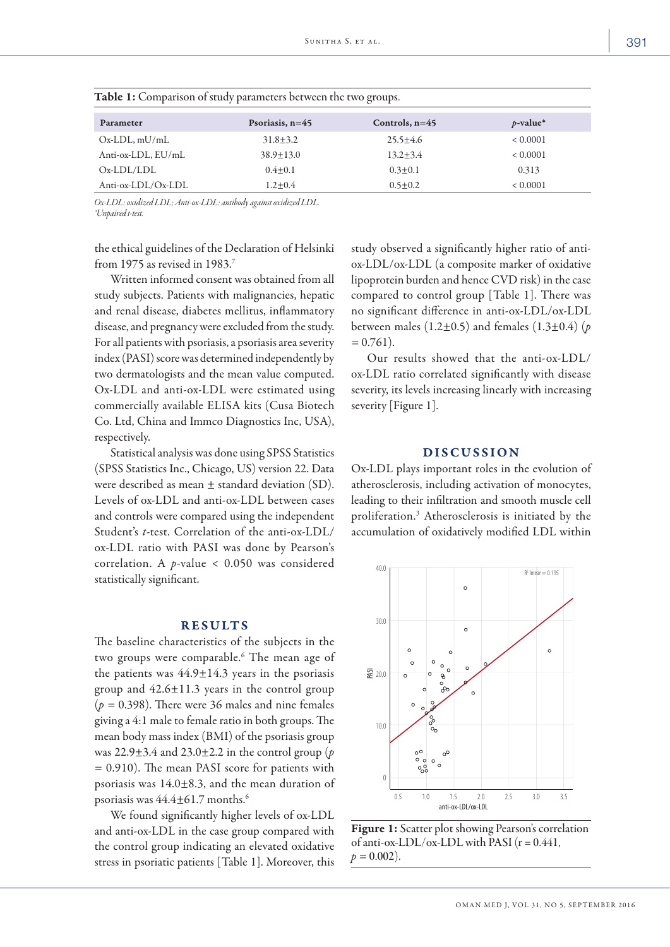| Parameter          | Psoriasis, $n=45$ | Controls, $n=45$ | $p$ -value* |
|--------------------|-------------------|------------------|-------------|
| $Ox-LDL$ , mU/mL   | $31.8 + 3.2$      | $25.5 + 4.6$     | < 0.0001    |
| Anti-ox-LDL, EU/mL | $38.9 \pm 13.0$   | $13.2 + 3.4$     | < 0.0001    |
| $Ox-LDL/LDL$       | $0.4 + 0.1$       | $0.3 + 0.1$      | 0.313       |
| Anti-ox-LDL/Ox-LDL | $1.2 + 0.4$       | $0.5 + 0.2$      | < 0.0001    |

Table 1: Comparison of study parameters between the two groups.

*Ox-LDL: oxidized LDL; Anti-ox-LDL: antibody against oxidized LDL. \*Unpaired t-test.*

the ethical guidelines of the Declaration of Helsinki from 1975 as revised in 1983.<sup>7</sup>

Written informed consent was obtained from all study subjects. Patients with malignancies, hepatic and renal disease, diabetes mellitus, inflammatory disease, and pregnancy were excluded from the study. For all patients with psoriasis, a psoriasis area severity index (PASI) score was determined independently by two dermatologists and the mean value computed. Ox-LDL and anti-ox-LDL were estimated using commercially available ELISA kits (Cusa Biotech Co. Ltd, China and Immco Diagnostics Inc, USA), respectively.

Statistical analysis was done using SPSS Statistics (SPSS Statistics Inc., Chicago, US) version 22. Data were described as mean ± standard deviation (SD). Levels of ox-LDL and anti-ox-LDL between cases and controls were compared using the independent Student's *t*-test. Correlation of the anti-ox-LDL/ ox-LDL ratio with PASI was done by Pearson's correlation. A *p*-value < 0.050 was considered statistically significant.

#### **RESULTS**

The baseline characteristics of the subjects in the two groups were comparable.<sup>6</sup> The mean age of the patients was  $44.9 \pm 14.3$  years in the psoriasis group and 42.6±11.3 years in the control group  $(p = 0.398)$ . There were 36 males and nine females giving a 4:1 male to female ratio in both groups. The mean body mass index (BMI) of the psoriasis group was 22.9±3.4 and 23.0±2.2 in the control group (*p =* 0.910). The mean PASI score for patients with psoriasis was 14.0±8.3, and the mean duration of psoriasis was 44.4±61.7 months.6

We found significantly higher levels of ox-LDL and anti-ox-LDL in the case group compared with the control group indicating an elevated oxidative stress in psoriatic patients [Table 1]. Moreover, this study observed a significantly higher ratio of antiox-LDL/ox-LDL (a composite marker of oxidative lipoprotein burden and hence CVD risk) in the case compared to control group [Table 1]. There was no significant difference in anti-ox-LDL/ox-LDL between males (1.2±0.5) and females (1.3±0.4) (*p =* 0.761).

Our results showed that the anti-ox-LDL/ ox-LDL ratio correlated significantly with disease severity, its levels increasing linearly with increasing severity [Figure 1].

### DISCUSSION

Ox-LDL plays important roles in the evolution of atherosclerosis, including activation of monocytes, leading to their infiltration and smooth muscle cell proliferation.3 Atherosclerosis is initiated by the accumulation of oxidatively modified LDL within



Figure 1: Scatter plot showing Pearson's correlation of anti-ox-LDL/ox-LDL with PASI  $(r = 0.441,$  $p = 0.002$ ).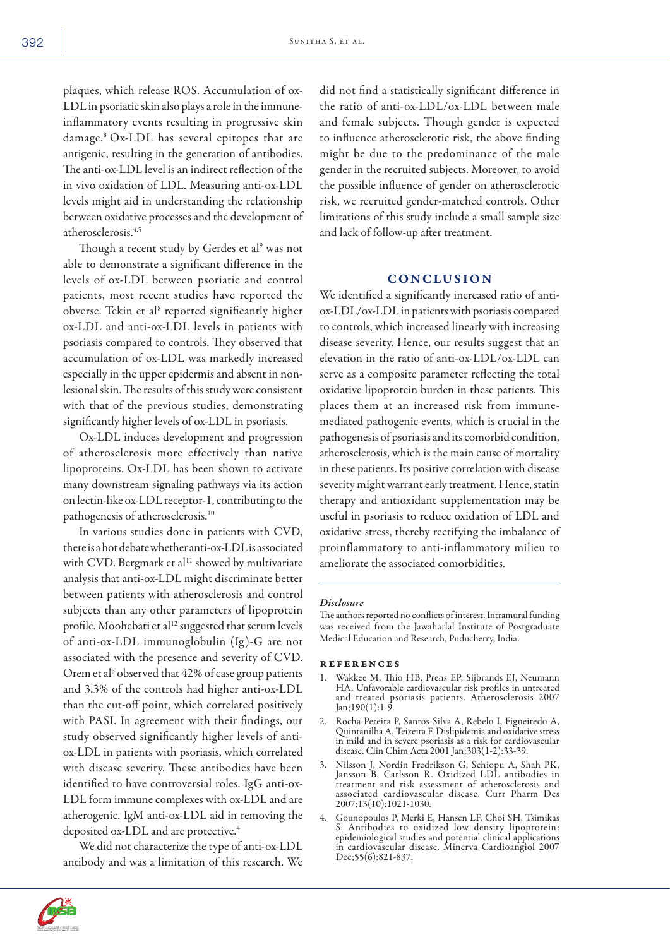plaques, which release ROS. Accumulation of ox-LDL in psoriatic skin also plays a role in the immuneinflammatory events resulting in progressive skin damage.8 Ox-LDL has several epitopes that are antigenic, resulting in the generation of antibodies. The anti-ox-LDL level is an indirect reflection of the in vivo oxidation of LDL. Measuring anti-ox-LDL levels might aid in understanding the relationship between oxidative processes and the development of atherosclerosis.4,5

Though a recent study by Gerdes et al<sup>9</sup> was not able to demonstrate a significant difference in the levels of ox-LDL between psoriatic and control patients, most recent studies have reported the obverse. Tekin et al<sup>8</sup> reported significantly higher ox-LDL and anti-ox-LDL levels in patients with psoriasis compared to controls. They observed that accumulation of ox-LDL was markedly increased especially in the upper epidermis and absent in nonlesional skin. The results of this study were consistent with that of the previous studies, demonstrating significantly higher levels of ox-LDL in psoriasis.

Ox-LDL induces development and progression of atherosclerosis more effectively than native lipoproteins. Ox-LDL has been shown to activate many downstream signaling pathways via its action on lectin-like ox-LDL receptor-1, contributing to the pathogenesis of atherosclerosis.10

In various studies done in patients with CVD, there is a hot debate whether anti-ox-LDL is associated with CVD. Bergmark et al<sup>11</sup> showed by multivariate analysis that anti-ox-LDL might discriminate better between patients with atherosclerosis and control subjects than any other parameters of lipoprotein profile. Moohebati et al<sup>12</sup> suggested that serum levels of anti-ox-LDL immunoglobulin (Ig)-G are not associated with the presence and severity of CVD. Orem et al<sup>5</sup> observed that 42% of case group patients and 3.3% of the controls had higher anti-ox-LDL than the cut-off point, which correlated positively with PASI. In agreement with their findings, our study observed significantly higher levels of antiox-LDL in patients with psoriasis, which correlated with disease severity. These antibodies have been identified to have controversial roles. IgG anti-ox-LDL form immune complexes with ox-LDL and are atherogenic. IgM anti-ox-LDL aid in removing the deposited ox-LDL and are protective.<sup>4</sup>

We did not characterize the type of anti-ox-LDL antibody and was a limitation of this research. We

did not find a statistically significant difference in the ratio of anti-ox-LDL/ox-LDL between male and female subjects. Though gender is expected to influence atherosclerotic risk, the above finding might be due to the predominance of the male gender in the recruited subjects. Moreover, to avoid the possible influence of gender on atherosclerotic risk, we recruited gender-matched controls. Other limitations of this study include a small sample size and lack of follow-up after treatment.

## **CONCLUSION**

We identified a significantly increased ratio of antiox-LDL/ox-LDL in patients with psoriasis compared to controls, which increased linearly with increasing disease severity. Hence, our results suggest that an elevation in the ratio of anti-ox-LDL/ox-LDL can serve as a composite parameter reflecting the total oxidative lipoprotein burden in these patients. This places them at an increased risk from immunemediated pathogenic events, which is crucial in the pathogenesis of psoriasis and its comorbid condition, atherosclerosis, which is the main cause of mortality in these patients. Its positive correlation with disease severity might warrant early treatment. Hence, statin therapy and antioxidant supplementation may be useful in psoriasis to reduce oxidation of LDL and oxidative stress, thereby rectifying the imbalance of proinflammatory to anti-inflammatory milieu to ameliorate the associated comorbidities.

#### *Disclosure*

The authors reported no conflicts of interest. Intramural funding was received from the Jawaharlal Institute of Postgraduate Medical Education and Research, Puducherry, India.

#### references

- Wakkee M, Thio HB, Prens EP, Sijbrands EJ, Neumann HA. Unfavorable cardiovascular risk profiles in untreated and treated psoriasis patients. Atherosclerosis 2007 Jan;190(1):1-9.
- 2. Rocha-Pereira P, Santos-Silva A, Rebelo I, Figueiredo A, Quintanilha A, Teixeira F. Dislipidemia and oxidative stress in mild and in severe psoriasis as a risk for cardiovascular disease. Clin Chim Acta 2001 Jan;303(1-2):33-39.
- 3. Nilsson J, Nordin Fredrikson G, Schiopu A, Shah PK, Jansson B, Carlsson R. Oxidized LDL antibodies in treatment and risk assessment of atherosclerosis and associated cardiovascular disease. Curr Pharm Des 2007;13(10):1021-1030.
- 4. Gounopoulos P, Merki E, Hansen LF, Choi SH, Tsimikas S. Antibodies to oxidized low density lipoprotein: epidemiological studies and potential clinical applications in cardiovascular disease. Minerva Cardioangiol 2007 Dec;55(6):821-837.